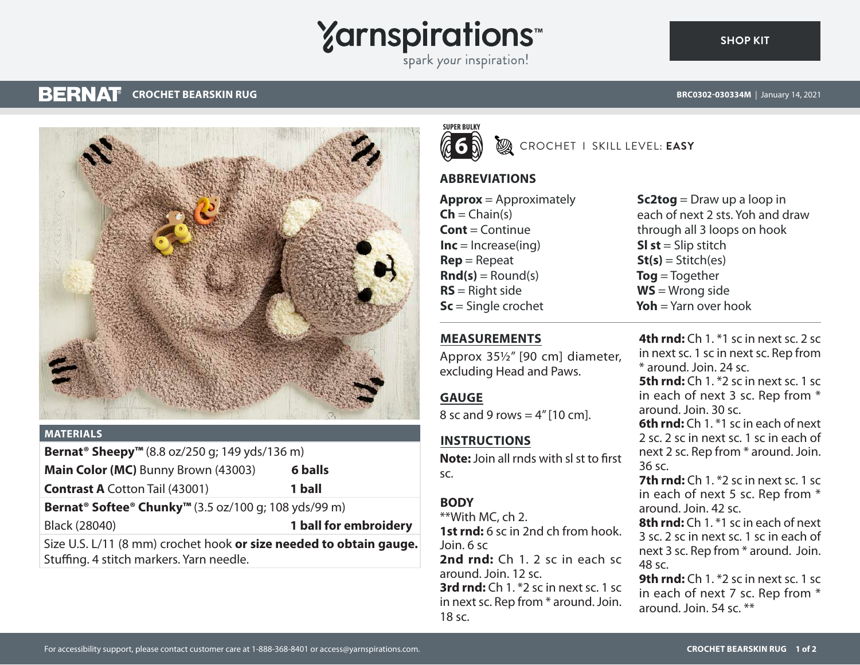# **Yarnspirations**

spark your inspiration!



### **MATERIALS**

**Bernat® Sheepy™** (8.8 oz/250 g; 149 yds/136 m)

**Main Color (MC)** Bunny Brown (43003) **6 balls**

**Contrast A** Cotton Tail (43001) **1 ball**

**Bernat® Softee® Chunky™** (3.5 oz/100 g; 108 yds/99 m)

Black (28040) **1 ball for embroidery**

Size U.S. L/11 (8 mm) crochet hook **or size needed to obtain gauge.** Stuffing. 4 stitch markers. Yarn needle.

**SUPER BULKY 6**

**B** CROCHET I SKILL LEVEL: **EASY** 

# **ABBREVIATIONS**

**Approx** = Approximately  $\mathsf{Ch} = \mathsf{Chain}(s)$ **Cont** = Continue  $Inc = Increase(ing)$ **Rep** = Repeat  $\text{Rnd}(s) =$  Round(s) **RS** = Right side **Sc** = Single crochet

**Sc2tog** = Draw up a loop in each of next 2 sts. Yoh and draw through all 3 loops on hook **Sl st** = Slip stitch  $St(s) = Stitch(es)$ **Tog** = Together **WS** = Wrong side **Yoh** = Yarn over hook

# **MEASUREMENTS**

Approx 35½" [90 cm] diameter, excluding Head and Paws.

## **GAUGE**

8 sc and 9 rows  $= 4$ " [10 cm].

# **INSTRUCTIONS**

**Note:** Join all rnds with sl st to first sc.

# **BODY**

\*\*With MC, ch 2. **1st rnd:** 6 sc in 2nd ch from hook. Join. 6 sc **2nd rnd:** Ch 1. 2 sc in each sc around. Join. 12 sc. **3rd rnd:** Ch 1. \*2 sc in next sc. 1 sc in next sc. Rep from \* around. Join. 18 sc.

**4th rnd:** Ch 1. \*1 sc in next sc. 2 sc in next sc. 1 sc in next sc. Rep from \* around. Join. 24 sc. **5th rnd:** Ch 1. \*2 sc in next sc. 1 sc in each of next 3 sc. Rep from \* around. Join. 30 sc. **6th rnd:** Ch 1. \*1 sc in each of next 2 sc. 2 sc in next sc. 1 sc in each of next 2 sc. Rep from \* around. Join. 36 sc. **7th rnd:** Ch 1. <sup>\*</sup>2 sc in next sc. 1 sc.

in each of next 5 sc. Rep from \* around. Join. 42 sc.

**8th rnd:** Ch 1. \*1 sc in each of next 3 sc. 2 sc in next sc. 1 sc in each of next 3 sc. Rep from \* around. Join. 48 sc.

**9th rnd:** Ch 1. <sup>\*</sup>2 sc in next sc. 1 sc in each of next 7 sc. Rep from \* around. Join. 54 sc. \*\*